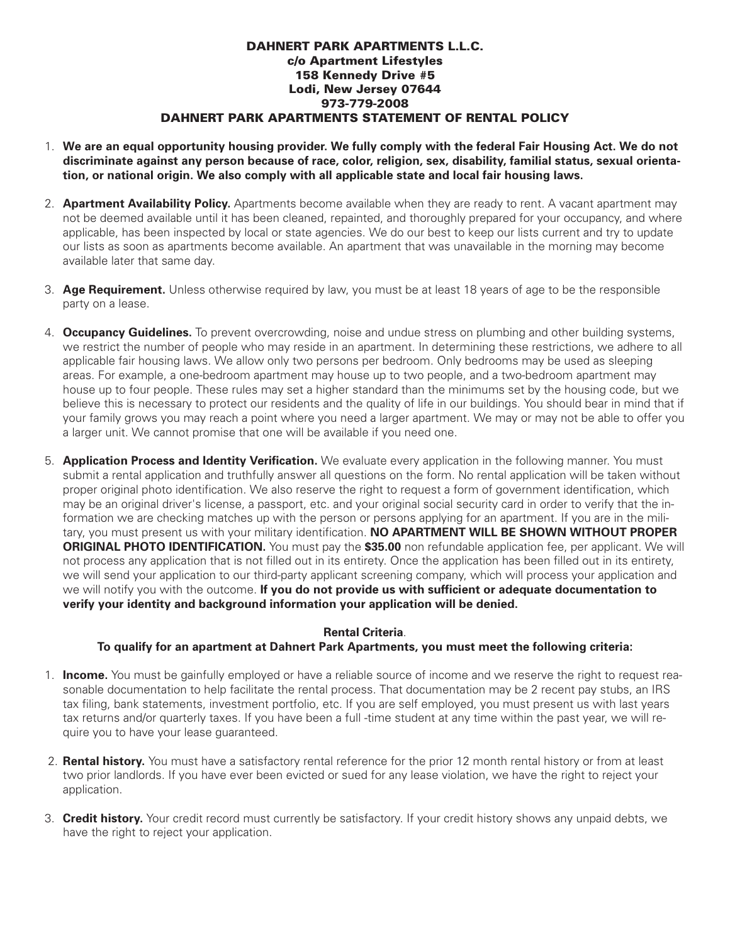## **DAHNERT PARK APARTMENTS L.L.C. c/o Apartment Lifestyles 158 Kennedy Drive #5 Lodi, New Jersey 07644 973-779-2008 DAHNERT PARK APARTMENTS STATEMENT OF RENTAL POLICY**

- 1. We are an equal opportunity housing provider. We fully comply with the federal Fair Housing Act. We do not **discriminate against any person because of race, color, religion, sex, disability, familial status, sexual orientation, or national origin. We also comply with all applicable state and local fair housing laws.**
- 2. **Apartment Availability Policy.** Apartments become available when they are ready to rent. A vacant apartment may not be deemed available until it has been cleaned, repainted, and thoroughly prepared for your occupancy, and where applicable, has been inspected by local or state agencies. We do our best to keep our lists current and try to update our lists as soon as apartments become available. An apartment that was unavailable in the morning may become available later that same day.
- 3. **Age Requirement.** Unless otherwise required by law, you must be at least 18 years of age to be the responsible party on a lease.
- 4. **Occupancy Guidelines.** To prevent overcrowding, noise and undue stress on plumbing and other building systems, we restrict the number of people who may reside in an apartment. In determining these restrictions, we adhere to all applicable fair housing laws. We allow only two persons per bedroom. Only bedrooms may be used as sleeping areas. For example, a one-bedroom apartment may house up to two people, and a two-bedroom apartment may house up to four people. These rules may set a higher standard than the minimums set by the housing code, but we believe this is necessary to protect our residents and the quality of life in our buildings. You should bear in mind that if your family grows you may reach a point where you need a larger apartment. We may or may not be able to offer you a larger unit. We cannot promise that one will be available if you need one.
- 5. **Application Process and Identity Verification.** We evaluate every application in the following manner. You must submit a rental application and truthfully answer all questions on the form. No rental application will be taken without proper original photo identification. We also reserve the right to request a form of government identification, which may be an original driver's license, a passport, etc. and your original social security card in order to verify that the information we are checking matches up with the person or persons applying for an apartment. If you are in the military, you must present us with your military identification. **NO APARTMENT WILL BE SHOWN WITHOUT PROPER ORIGINAL PHOTO IDENTIFICATION.** You must pay the **\$35.00** non refundable application fee, per applicant. We will not process any application that is not filled out in its entirety. Once the application has been filled out in its entirety, we will send your application to our third-party applicant screening company, which will process your application and we will notify you with the outcome. **If you do not provide us with sufficient or adequate documentation to verify your identity and background information your application will be denied.**

## **Rental Criteria**. **To qualify for an apartment at Dahnert Park Apartments, you must meet the following criteria:**

- 1. **Income.** You must be gainfully employed or have a reliable source of income and we reserve the right to request reasonable documentation to help facilitate the rental process. That documentation may be 2 recent pay stubs, an IRS tax filing, bank statements, investment portfolio, etc. If you are self employed, you must present us with last years tax returns and/or quarterly taxes. If you have been a full -time student at any time within the past year, we will require you to have your lease guaranteed.
- 2. **Rental history.** You must have a satisfactory rental reference for the prior 12 month rental history or from at least two prior landlords. If you have ever been evicted or sued for any lease violation, we have the right to reject your application.
- 3. **Credit history.** Your credit record must currently be satisfactory. If your credit history shows any unpaid debts, we have the right to reject your application.